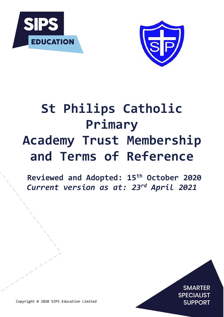



# **St Philips Catholic Primary Academy Trust Membership and Terms of Reference**

**Reviewed and Adopted: 15th October 2020** *Current version as at: 23rd April 2021*

> **SMARTER SPECIALIST SUPPORT**

J.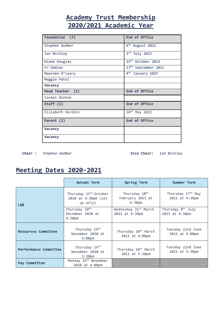# **Academy Trust Membership 2020/2021 Academic Year**

| Foundation (7)    | End of Office                |
|-------------------|------------------------------|
| Stephen Godber    | 6 <sup>th</sup> August 2021  |
| Ian Bickley       | 3rd July 2023                |
| Diane Douglas     | 15th October 2023            |
| Fr Damian         | 17th September 2022          |
| Maureen O'Leary   | 4 <sup>th</sup> January 2025 |
| Maggie Patel      |                              |
| Vacancy           |                              |
| Head Teacher (1)  | End of Office                |
| Carmel Hinton     |                              |
| Staff $(1)$       | End of Office                |
| Elizabeth Horobin | 10 <sup>th</sup> May 2023    |
| Parent (2)        | End of Office                |
| <b>Vacancy</b>    |                              |
| Vacancy           |                              |

 **Chair :** Stephen Godber **Vice Chair:** Ian Bickley

# **Meeting Dates 2020-2021**

|                            | <b>Autumn Term</b>                                                   | <b>Spring Term</b>                                           | Summer Term                                     |
|----------------------------|----------------------------------------------------------------------|--------------------------------------------------------------|-------------------------------------------------|
| <b>LGB</b>                 | Thursday 15 <sup>th</sup> October<br>2020 at 4:30pm (set<br>up only) | Thursday $10^{th}$<br>February 2021 at<br>4:30 <sub>pm</sub> | Thursday 27 <sup>th</sup> May<br>2021 at 4:30pm |
|                            | Thursday 10th<br>December 2020 at<br>4:30 <sub>pm</sub>              | Wednesday 31st March<br>2021 at 4:30pm                       | Thursday 8 <sup>th</sup> July<br>2021 at 4:30pm |
| <b>Resources Committee</b> | Thursday 19th<br>November 2020 at<br>4:00 <sub>pm</sub>              | Thursday 10 <sup>th</sup> March<br>2021 at 4:00pm            | Tuesday 22nd June<br>2021 at 4:00pm             |
| Performance Committee      | Thursday 19th<br>November 2020 at<br>5:30 <sub>pm</sub>              | Thursday 10 <sup>th</sup> March<br>2021 at 5:30pm            | Tuesday 22nd June<br>2021 at 5:30pm             |
| Pay Committee              | Monday 16 <sup>th</sup> November<br>2020 at 4:00pm                   |                                                              |                                                 |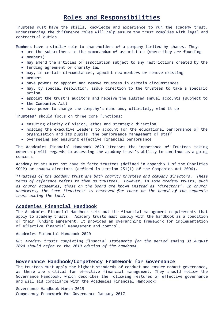# **Roles and Responsibilities**

Trustees must have the skills, knowledge and experience to run the academy trust. Understanding the difference roles will help ensure the trust complies with legal and contractual duties.

**Members** have a similar role to shareholders of a company limited by shares. They:

- are the subscribers to the memorandum of association (where they are founding • members)
- may amend the articles of association subject to any restrictions created by the
- funding agreement or charity law
- may, in certain circumstances, appoint new members or remove existing
- members
- have powers to appoint and remove trustees in certain circumstances
- may, by special resolution, issue direction to the trustees to take a specific action
- appoint the trust's auditors and receive the audited annual accounts (subject to
- the Companies Act)
- have power to change the company's name and, ultimately, wind it up

**Trustees\*** should focus on three core functions:

- ensuring clarity of vision, ethos and strategic direction
- holding the executive leaders to account for the educational performance of the organisation and its pupils, the performance management of staff
- overseeing and ensuring effective financial performance

The Academies Financial Handbook 2020 stresses the importance of Trustees taking ownership with regards to assessing the academy trust's ability to continue as a going concern.

Academy trusts must not have de facto trustees (defined in appendix 1 of the Charities SORP) or shadow directors (defined in section 251(1) of the Companies Act 2006).

*\*Trustees of the academy trust are both charity trustees and company directors. These terms of reference refers to them as trustees. However, in some academy trusts, such as church academies, those on the board are known instead as 'directors'. In church academies, the term 'trustees' is reserved for those on the board of the separate trust owning the land.*

#### **Academies Financial Handbook**

The Academies Financial Handbook sets out the financial management requirements that apply to academy trusts. Academy trusts must comply with the handbook as a condition of their funding agreement. It provides an overarching framework for implementation of effective financial management and control.

#### [Academies Financial Handbook 2020](https://assets.publishing.service.gov.uk/media/5ef0a9a5d3bf7f6c03ed25b7/Academies_Financial_Handbook_2020.pdf)

*NB: Academy trusts completing financial statements for the period ending 31 August 2020 should refer to the [2019 edition](https://assets.publishing.service.gov.uk/media/5d035c0eed915d0a80fe0665/Academies_Financial_Handbook_2019.pdf) of the handbook.* 

#### **Governance Handbook/Competency Framework for Governance**

The trustees must apply the highest standards of conduct and ensure robust governance, as these are critical for effective financial management. They should follow the Governance Handbook, which describes the following features of effective governance and will aid compliance with the Academies Financial Handbook:

[Governance Handbook March](https://assets.publishing.service.gov.uk/government/uploads/system/uploads/attachment_data/file/788234/governance_handbook_2019.pdf) 2019 [Competency Framework for Governance January 2017](https://assets.publishing.service.gov.uk/government/uploads/system/uploads/attachment_data/file/583733/Competency_framework_for_governance_.pdf)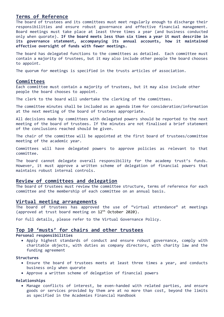#### **Terms of Reference**

The board of trustees and its committees must meet regularly enough to discharge their responsibilities and ensure robust governance and effective financial management. Board meetings must take place at least three times a year (and business conducted only when quorate). **If the board meets less than six times a year it must describe in its governance statement, accompanying its annual accounts, how it maintained effective oversight of funds with fewer meetings.**

The board has delegated functions to the committees as detailed. Each committee must contain a majority of trustees, but it may also include other people the board chooses to appoint.

The quorum for meetings is specified in the trusts articles of association.

#### **Committees**

Each committee must contain a majority of trustees, but it may also include other people the board chooses to appoint.

The clerk to the board will undertake the clerking of the committees.

The committee minutes shall be included as an agenda item for consideration/information at the next meeting of the board of trustees appropriate.

All decisions made by committees with delegated powers should be reported to the next meeting of the board of trustees. If the minutes are not finalised a brief statement of the conclusions reached should be given.

The chair of the committee will be appointed at the first board of trustees/committee meeting of the academic year.

Committees will have delegated powers to approve policies as relevant to that committee.

The board cannot delegate overall responsibility for the academy trust's funds. However, it must approve a written scheme of delegation of financial powers that maintains robust internal controls.

#### **Review of committees and delegation**

The board of trustees must review the committee structure, terms of reference for each committee and the membership of each committee on an annual basis.

#### **Virtual meeting arrangements**

The board of trustees has approved the use of "virtual attendance" at meetings (approved at trust board meeting on 12th October 2020).

For full details, please refer to the Virtual Governance Policy.

#### **Top 10 'musts' for chairs and other trustees**

#### **Personal responsibilities**

• Apply highest standards of conduct and ensure robust governance, comply with charitable objects, with duties as company directors, with charity law and the funding agreement

#### **Structures**

- Ensure the board of trustees meets at least three times a year, and conducts business only when quorate
- Approve a written scheme of delegation of financial powers

#### **Relationships**

• Manage conflicts of interest, be even-handed with related parties, and ensure goods or services provided by them are at no more than cost, beyond the limits as specified in the Academies Financial Handbook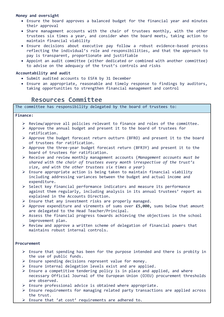#### **Money and oversight**

- Ensure the board approves a balanced budget for the financial year and minutes their approval
- Share management accounts with the chair of trustees monthly, with the other trustees six times a year, and consider when the board meets, taking action to maintain financial viability
- Ensure decisions about executive pay follow a robust evidence-based process reflecting the individual's role and responsibilities, and that the approach to pay is transparent, proportionate and justifiable
- Appoint an audit committee (either dedicated or combined with another committee) to advise on the adequacy of the trust's controls and risks

#### **Accountability and audit**

- Submit audited accounts to ESFA by 31 December
- Ensure an appropriate, reasonable and timely response to findings by auditors, taking opportunities to strengthen financial management and control

### **Resources Committee**

The committee has responsibility delegated by the board of trustees to:

#### **Finance:**

- $\triangleright$  Review/approve all policies relevant to finance and roles of the committee.
- ➢ Approve the annual budget and present it to the board of trustees for ratification.
- $\triangleright$  Approve the budget forecast return outturn (BFRO) and present it to the board of trustees for ratification.
- ➢ Approve the three-year budget forecast return (BFR3Y) and present it to the board of trustees for ratification.
- ➢ Receive and review monthly management accounts (*Management accounts must be shared with the chair of trustees every month irrespective of the trust's size, and with the other trustees six times a year*)
- $\triangleright$  Ensure appropriate action is being taken to maintain financial viability including addressing variances between the budget and actual income and expenditure.
- ➢ Select key financial performance indicators and measure its performance against them regularly, including analysis in its annual trustees' report as explained in the Accounts Direction.
- $\triangleright$  Ensure that any investment risks are properly managed.
- ➢ Approve expenditure and virements of sums over **£5,000,** sums below that amount are delegated to the Head Teacher/Principal.
- $\triangleright$  Assess the financial progress towards achieving the objectives in the school improvement plan.
- ➢ Review and approve a written scheme of delegation of financial powers that maintains robust internal controls.

#### **Procurement**

- $\triangleright$  Ensure that spending has been for the purpose intended and there is probity in the use of public funds.
- ➢ Ensure spending decisions represent value for money.
- ➢ Ensure internal delegation levels exist and are applied.
- ➢ Ensure a competitive tendering policy is in place and applied, and where necessary Official Journal of the European Union (OJEU) procurement thresholds are observed.
- ➢ Ensure professional advice is obtained where appropriate.
- ➢ Ensure requirements for managing related party transactions are applied across the trust.
- ➢ Ensure that 'at cost' requirements are adhered to.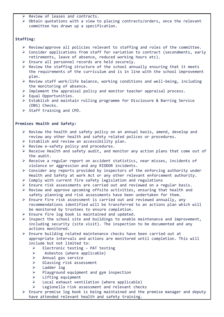- ➢ Review of leases and contracts.
- ➢ Obtain quotations with a view to placing contracts/orders, once the relevant committee has drawn up a specification.

#### **Staffing:**

- ➢ Review/approve all policies relevant to staffing and roles of the committee.
- ➢ Consider applications from staff for variation to contract (secondments, early retirements, leave of absence, reduced working hours etc).
- ➢ Ensure all personnel records are held securely.
- ➢ Review the staffing structure of the school annually ensuring that it meets the requirements of the curriculum and is in line with the school improvement plan.
- $\triangleright$  Review staff work/life balance, working conditions and well-being, including the monitoring of absence.
- $\triangleright$  Implement the appraisal policy and monitor teacher appraisal process.
- $\triangleright$  Equal Opportunities.
- ➢ Establish and maintain rolling programme for Disclosure & Barring Service (DBS) Checks.
- ➢ Staff training and CPD.

#### **Premises Health and Safety:**

- $\triangleright$  Review the health and safety policy on an annual basis, amend, develop and review any other health and safety related polices or procedures.
- ➢ Establish and review an accessibility plan.
- ➢ Review e-safety policy and procedures.
- ➢ Receive Health and safety audit, and monitor any action plans that come out of the audit.
- ➢ Receive a regular report on accident statistics, near misses, incidents of violence or aggression and any RIDDOR incidents.
- ➢ Consider any reports provided by inspectors of the enforcing authority under Health and Safety at work Act or any other relevant enforcement authority.
- ➢ Comply with current fire safety legislation and regulations
- $\triangleright$  Ensure risk assessments are carried out and reviewed on a regular basis.
- $\triangleright$  Review and approve upcoming offsite activities, ensuring that health and safety planning and risk assessments have been undertaken for them.
- $\triangleright$  Ensure Fire risk assessment is carried out and reviewed annually, any recommendations identified will be transferred to an actions plan which will be monitored by trustees to ensure completion.
- $\triangleright$  Ensure fire log book is maintained and updated.
- $\triangleright$  Inspect the school site and buildings to enable maintenance and improvement, including security (site visit). The inspection to be documented and any actions monitored.
- $\triangleright$  Ensure building related maintenance checks have been carried out at appropriate intervals and actions are monitored until completion. This will include but not limited to:
	- $\triangleright$  Electronic testing PAT testing
	- ➢ Asbestos (where applicable)
	- ➢ Annual gas service
	- ➢ Glassing risk assessment
	- ➢ Ladder log
	- ➢ Playground equipment and gym inspection
	- ➢ Lifting equipment
	- $\triangleright$  Local exhaust ventilation (where applicable)
	- ➢ Legionella risk assessment and relevant checks
- $\triangleright$  Ensure premise log book is being maintained and the premise manager and deputy have attended relevant health and safety training.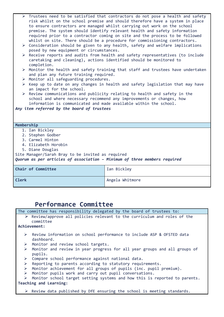| $\triangleright$ Trustees need to be satisfied that contractors do not pose a health and safety<br>risk whilst on the school premise and should therefore have a system in place<br>to ensure contractors are managed whilst carrying out work on the school<br>premise. The system should identify relevant health and safety information<br>required prior to a contractor coming on site and the process to be followed<br>whilst on site. There should be a procedure for commissioning contractors.<br>> Consideration should be given to any health, safety and welfare implications<br>posed by new equipment or circumstances.<br>> Receive reports and audits from health and safety representatives (to include<br>caretaking and cleaning), actions identified should be monitored to<br>completion.<br>$\triangleright$ Monitor the health and safety training that staff and trustees have undertaken<br>and plan any future training required.<br>$\triangleright$ Monitor all safeguarding procedures.<br>▶ Keep up to date on any changes in health and safety legislation that may have<br>an impact for the school.<br>> Review communications and publicity relating to health and safety in the<br>school and where necessary recommend any improvements or changes, how<br>information is communicated and made available within the school.<br>Any item referred by the board of trustees |                 |  |
|-----------------------------------------------------------------------------------------------------------------------------------------------------------------------------------------------------------------------------------------------------------------------------------------------------------------------------------------------------------------------------------------------------------------------------------------------------------------------------------------------------------------------------------------------------------------------------------------------------------------------------------------------------------------------------------------------------------------------------------------------------------------------------------------------------------------------------------------------------------------------------------------------------------------------------------------------------------------------------------------------------------------------------------------------------------------------------------------------------------------------------------------------------------------------------------------------------------------------------------------------------------------------------------------------------------------------------------------------------------------------------------------------------------------|-----------------|--|
| Membership                                                                                                                                                                                                                                                                                                                                                                                                                                                                                                                                                                                                                                                                                                                                                                                                                                                                                                                                                                                                                                                                                                                                                                                                                                                                                                                                                                                                      |                 |  |
| 1. Ian Bickley                                                                                                                                                                                                                                                                                                                                                                                                                                                                                                                                                                                                                                                                                                                                                                                                                                                                                                                                                                                                                                                                                                                                                                                                                                                                                                                                                                                                  |                 |  |
| 2. Stephen Godber                                                                                                                                                                                                                                                                                                                                                                                                                                                                                                                                                                                                                                                                                                                                                                                                                                                                                                                                                                                                                                                                                                                                                                                                                                                                                                                                                                                               |                 |  |
| 3. Carmel Hinton                                                                                                                                                                                                                                                                                                                                                                                                                                                                                                                                                                                                                                                                                                                                                                                                                                                                                                                                                                                                                                                                                                                                                                                                                                                                                                                                                                                                |                 |  |
| 4. Elizabeth Horobin                                                                                                                                                                                                                                                                                                                                                                                                                                                                                                                                                                                                                                                                                                                                                                                                                                                                                                                                                                                                                                                                                                                                                                                                                                                                                                                                                                                            |                 |  |
| 5. Diane Douglas                                                                                                                                                                                                                                                                                                                                                                                                                                                                                                                                                                                                                                                                                                                                                                                                                                                                                                                                                                                                                                                                                                                                                                                                                                                                                                                                                                                                |                 |  |
| Site Manager/Sarah Bray to be invited as required                                                                                                                                                                                                                                                                                                                                                                                                                                                                                                                                                                                                                                                                                                                                                                                                                                                                                                                                                                                                                                                                                                                                                                                                                                                                                                                                                               |                 |  |
| Quorum as per articles of association - Minimum of three members required                                                                                                                                                                                                                                                                                                                                                                                                                                                                                                                                                                                                                                                                                                                                                                                                                                                                                                                                                                                                                                                                                                                                                                                                                                                                                                                                       |                 |  |
| Chair of Committee                                                                                                                                                                                                                                                                                                                                                                                                                                                                                                                                                                                                                                                                                                                                                                                                                                                                                                                                                                                                                                                                                                                                                                                                                                                                                                                                                                                              | Ian Bickley     |  |
| <b>Clerk</b>                                                                                                                                                                                                                                                                                                                                                                                                                                                                                                                                                                                                                                                                                                                                                                                                                                                                                                                                                                                                                                                                                                                                                                                                                                                                                                                                                                                                    | Angela Whitmore |  |
|                                                                                                                                                                                                                                                                                                                                                                                                                                                                                                                                                                                                                                                                                                                                                                                                                                                                                                                                                                                                                                                                                                                                                                                                                                                                                                                                                                                                                 |                 |  |

# **Performance Committee**

|                        | The committee has responsibility delegated by the board of trustees to:                  |  |
|------------------------|------------------------------------------------------------------------------------------|--|
|                        | $\triangleright$ Review/approve all policies relevant to the curriculum and roles of the |  |
|                        | committee                                                                                |  |
|                        | Achievement:                                                                             |  |
|                        |                                                                                          |  |
| ➤                      | Review information on school performance to include ASP & OFSTED data                    |  |
|                        | dashboard.                                                                               |  |
| ➤                      | Monitor and review school targets.                                                       |  |
| ➤                      | Monitor and review in year progress for all year groups and all groups of                |  |
|                        | pupils.                                                                                  |  |
| ≻                      | Compare school performance against national data.                                        |  |
| ➤                      | Reporting to parents according to statutory requirements.                                |  |
| ➤                      | Monitor achievement for all groups of pupils (inc. pupil premium).                       |  |
| ➤                      | Monitor pupils work and carry out pupil conversations.                                   |  |
| ➤                      | Monitor school target setting systems and how this is reported to parents.               |  |
| Teaching and Learning: |                                                                                          |  |
|                        |                                                                                          |  |
|                        | $\triangleright$ Review data published by DfE ensuring the school is meeting standards.  |  |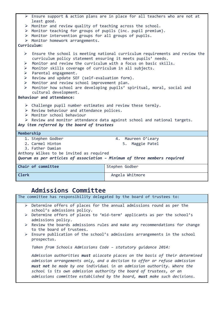|                                                                                          | $\triangleright$ Ensure support & action plans are in place for all teachers who are not at                                                                                                                                                                                                |                                                                        |  |
|------------------------------------------------------------------------------------------|--------------------------------------------------------------------------------------------------------------------------------------------------------------------------------------------------------------------------------------------------------------------------------------------|------------------------------------------------------------------------|--|
|                                                                                          | least good.                                                                                                                                                                                                                                                                                |                                                                        |  |
|                                                                                          | $\triangleright$ Monitor and review quality of teaching across the school.                                                                                                                                                                                                                 |                                                                        |  |
|                                                                                          | > Monitor teaching for groups of pupils (inc. pupil premium).                                                                                                                                                                                                                              |                                                                        |  |
|                                                                                          | > Monitor intervention groups for all groups of pupils.                                                                                                                                                                                                                                    |                                                                        |  |
|                                                                                          | $\triangleright$ Monitor homework arrangements.                                                                                                                                                                                                                                            |                                                                        |  |
|                                                                                          | Curriculum:                                                                                                                                                                                                                                                                                |                                                                        |  |
| ➤<br>$\blacktriangleright$                                                               | $\triangleright$ Ensure the school is meeting national curriculum requirements and review the<br>curriculum policy statement ensuring it meets pupils' needs.<br>Monitor and review the curriculum with a focus on basic skills.<br>Monitor skills coverage of curriculum in all subjects. |                                                                        |  |
| $\blacktriangleright$                                                                    | Parental engagement.                                                                                                                                                                                                                                                                       |                                                                        |  |
| $\blacktriangleright$                                                                    | Review and update SEF (self-evaluation form).                                                                                                                                                                                                                                              |                                                                        |  |
| $\blacktriangleright$                                                                    | Monitor and review school improvement plan.                                                                                                                                                                                                                                                |                                                                        |  |
| $\blacktriangleright$                                                                    |                                                                                                                                                                                                                                                                                            | Monitor how school are developing pupils' spiritual, moral, social and |  |
|                                                                                          | cultural development.                                                                                                                                                                                                                                                                      |                                                                        |  |
|                                                                                          | Behaviour and attendance:                                                                                                                                                                                                                                                                  |                                                                        |  |
|                                                                                          |                                                                                                                                                                                                                                                                                            |                                                                        |  |
|                                                                                          | $\triangleright$ Challenge pupil number estimates and review these termly.                                                                                                                                                                                                                 |                                                                        |  |
|                                                                                          | > Review behaviour and attendance polices.                                                                                                                                                                                                                                                 |                                                                        |  |
|                                                                                          | $\triangleright$ Monitor school behaviour                                                                                                                                                                                                                                                  |                                                                        |  |
| $\triangleright$ Review and monitor attendance data against school and national targets. |                                                                                                                                                                                                                                                                                            |                                                                        |  |
| Any item referred by the board of trustees                                               |                                                                                                                                                                                                                                                                                            |                                                                        |  |
| Membership                                                                               |                                                                                                                                                                                                                                                                                            |                                                                        |  |
|                                                                                          | 1. Stephen Godber                                                                                                                                                                                                                                                                          | 4. Maureen O'Leary                                                     |  |
|                                                                                          | 2. Carmel Hinton                                                                                                                                                                                                                                                                           | 5. Maggie Patel                                                        |  |
|                                                                                          | 3. Father Damian                                                                                                                                                                                                                                                                           |                                                                        |  |
| Anthony Wilkes to be invited as required                                                 |                                                                                                                                                                                                                                                                                            |                                                                        |  |
| Quorum as per articles of association - Minimum of three members required                |                                                                                                                                                                                                                                                                                            |                                                                        |  |
|                                                                                          | Chair of committee                                                                                                                                                                                                                                                                         | Stephen Godber                                                         |  |
|                                                                                          |                                                                                                                                                                                                                                                                                            |                                                                        |  |

**Clerk** Angela Whitmore

# **Admissions Committee**

|   | The committee has responsibility delegated by the board of trustees to:                                                                                                                                                                                                                                                                                                              |
|---|--------------------------------------------------------------------------------------------------------------------------------------------------------------------------------------------------------------------------------------------------------------------------------------------------------------------------------------------------------------------------------------|
|   | $\triangleright$ Determine offers of places for the annual admissions round as per the<br>school's admissions policy.                                                                                                                                                                                                                                                                |
| ➤ | Determine offers of places to 'mid-term' applicants as per the school's<br>admissions policy.                                                                                                                                                                                                                                                                                        |
|   | $\triangleright$ Review the boards admissions rules and make any recommendations for change<br>to the board of trustees.                                                                                                                                                                                                                                                             |
|   | $\triangleright$ Ensure publication of the school's admissions arrangements in the school<br>prospectus.                                                                                                                                                                                                                                                                             |
|   | Taken from Schools Admissions Code - statutory quidance 2014:                                                                                                                                                                                                                                                                                                                        |
|   | Admission authorities must allocate places on the basis of their determined<br>admission arrangements only, and a decision to offer or refuse admission<br>must not be made by one individual in an admission authority. Where the<br>school is its own admission authority the board of trustees, or an<br>admissions committee established by the board, must make such decisions. |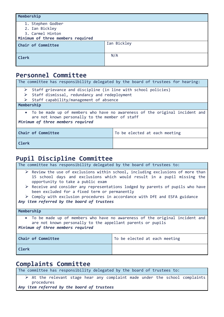| Membership                        |             |
|-----------------------------------|-------------|
| 1. Stephen Godber                 |             |
| 2. Ian Bickley                    |             |
| 3. Carmel Hinton                  |             |
| Minimum of three members required |             |
| Chair of Committee                | Ian Bickley |
| <b>Clerk</b>                      | N/A         |

### **Personnel Committee**

| The committee has responsibility delegated by the board of trustees for hearing:                                                                                      |                               |  |
|-----------------------------------------------------------------------------------------------------------------------------------------------------------------------|-------------------------------|--|
| $\triangleright$ Staff grievance and discipline (in line with school policies)                                                                                        |                               |  |
| Staff dismissal, redundancy and redeployment                                                                                                                          |                               |  |
| $\triangleright$ Staff capability/management of absence                                                                                                               |                               |  |
| Membership                                                                                                                                                            |                               |  |
| • To be made up of members who have no awareness of the original incident and<br>are not known personally to the member of staff<br>Minimum of three members required |                               |  |
| Chair of Committee                                                                                                                                                    | To be elected at each meeting |  |
| Clerk                                                                                                                                                                 |                               |  |

# **Pupil Discipline Committee**

The committee has responsibility delegated by the board of trustees to:  $\triangleright$  Review the use of exclusions within school, including exclusions of more than 15 school days and exclusions which would result in a pupil missing the opportunity to take a public exam ➢ Receive and consider any representations lodged by parents of pupils who have been excluded for a fixed term or permanently ➢ Comply with exclusion procedures in accordance with DfE and ESFA guidance *Any item referred by the board of trustees* **Membership** • To be made up of members who have no awareness of the original incident and are not known personally to the appellant parents or pupils *Minimum of three members required* **Chair of Committee** The Total Total elected at each meeting **Clerk**

# **Complaints Committee**

The committee has responsibility delegated by the board of trustees to:  $\triangleright$  At the relevant stage hear any complaint made under the school complaints procedures

*Any item referred by the board of trustees*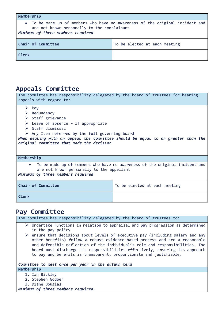| Membership                                                                                                                                                        |                               |  |
|-------------------------------------------------------------------------------------------------------------------------------------------------------------------|-------------------------------|--|
| • To be made up of members who have no awareness of the original incident and<br>are not known personally to the complainant<br>Minimum of three members required |                               |  |
| Chair of Committee                                                                                                                                                | To be elected at each meeting |  |
| Clerk                                                                                                                                                             |                               |  |

### **Appeals Committee**

| The committee has responsibility delegated by the board of trustees for hearing<br>appeals with regard to: |                               |  |
|------------------------------------------------------------------------------------------------------------|-------------------------------|--|
| $\triangleright$ Pay                                                                                       |                               |  |
| $\triangleright$ Redundancy                                                                                |                               |  |
| $\triangleright$ Staff grievance                                                                           |                               |  |
| E Leave of absence - if appropriate                                                                        |                               |  |
| $\triangleright$ Staff dismissal                                                                           |                               |  |
| $\triangleright$ Any Item referred by the full governing board                                             |                               |  |
| When dealing with an appeal the committee should be equal to or greater than the                           |                               |  |
| original committee that made the decision                                                                  |                               |  |
|                                                                                                            |                               |  |
|                                                                                                            |                               |  |
| Membership                                                                                                 |                               |  |
| • To be made up of members who have no awareness of the original incident and                              |                               |  |
| are not known personally to the appellant                                                                  |                               |  |
| Minimum of three members required                                                                          |                               |  |
|                                                                                                            |                               |  |
| Chair of Committee                                                                                         | To be elected at each meeting |  |
|                                                                                                            |                               |  |
| <b>Clerk</b>                                                                                               |                               |  |
|                                                                                                            |                               |  |

# **Pay Committee**

The committee has responsibility delegated by the board of trustees to:

- ➢ Undertake functions in relation to appraisal and pay progression as determined in the pay policy
- $\triangleright$  ensure that decisions about levels of executive pay (including salary and any other benefits) follow a robust evidence-based process and are a reasonable and defensible reflection of the individual's role and responsibilities. The board must discharge its responsibilities effectively, ensuring its approach to pay and benefits is transparent, proportionate and justifiable.

*Committee to meet once per year in the autumn term*

- **Membership**
	- 1. Ian Bickley
	- 2. Stephen Godber
	- 3. Diane Douglas

*Minimum of three members required.*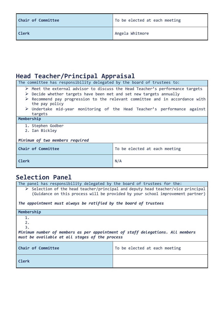| Chair of Committee | To be elected at each meeting |
|--------------------|-------------------------------|
| Clerk              | Angela Whitmore               |

# **Head Teacher/Principal Appraisal**

The committee has responsibility delegated by the board of trustees to:

- ➢ Meet the external advisor to discuss the Head Teacher's performance targets ➢ Decide whether targets have been met and set new targets annually
- ➢ Recommend pay progression to the relevant committee and in accordance with the pay policy
- ➢ Undertake mid-year monitoring of the Head Teacher's performance against targets

#### **Membership**

- 1. Stephen Godber
- 2. Ian Bickley

#### *Minimum of two members required*

| Chair of Committee | To be elected at each meeting |
|--------------------|-------------------------------|
| <b>Clerk</b>       | N/A                           |

# **Selection Panel**

| The panel has responsibility delegated by the board of trustees for the:                                                                                                                                                                              |                               |  |
|-------------------------------------------------------------------------------------------------------------------------------------------------------------------------------------------------------------------------------------------------------|-------------------------------|--|
| $\triangleright$ Selection of the head teacher/principal and deputy head teacher/vice principal<br>(Guidance on this process will be provided by your school improvement partner)<br>The appointment must always be ratified by the board of trustees |                               |  |
| Membership                                                                                                                                                                                                                                            |                               |  |
| 1.<br>2.<br>3.<br>Minimum number of members as per appointment of staff delegations. All members<br>must be available at all stages of the process                                                                                                    |                               |  |
| Chair of Committee                                                                                                                                                                                                                                    | To be elected at each meeting |  |
| Clerk                                                                                                                                                                                                                                                 |                               |  |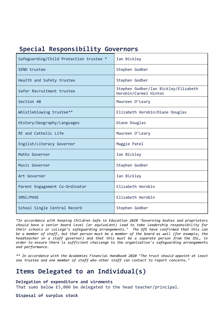| Safeguarding/Child Protection trustee * | Ian Bickley                                                   |
|-----------------------------------------|---------------------------------------------------------------|
| SEND trustee                            | Stephen Godber                                                |
| Health and Safety trustee               | Stephen Godber                                                |
| Safer Recruitment trustee               | Stephen Godber/Ian Bickley/Elizabeth<br>Horobin/Carmel Hinton |
| Section 48                              | Maureen O'Leary                                               |
| Whistleblowing trustee**                | Elizabeth Horobin/Diane Douglas                               |
| History/Geography/Languages             | Diane Douglas                                                 |
| RE and Catholic Life                    | Maureen O'Leary                                               |
| English/Literacy Governor               | Maggie Patel                                                  |
| Maths Governor                          | Ian Bickley                                                   |
| Music Governor                          | Stephen Godber                                                |
| Art Governor                            | Ian Bickley                                                   |
| Parent Engagement Co-Ordinator          | Elizabeth Horobin                                             |
| SMSC/PHSE                               | Elizabeth Horobin                                             |
| School Single Central Record            | Stephen Godber                                                |

### **Special Responsibility Governors**

*\*In accordance with Keeping Children Safe in Education 2020 'Governing bodies and proprietors should have a senior board level (or equivalent) lead to take leadership responsibility for their schools or college's safeguarding arrangements.' The DfE have confirmed that this can be a member of staff, but that person must be a member of the board as well (for example, the headteacher or a staff governor) and that this must be a separate person from the DSL, in order to ensure there is sufficient challenge to the organisation's safeguarding arrangements and performance.* 

*\*\* In accordance with the Academies Financial Handbook 2020 'The trust should appoint at least one trustee and one member of staff who other staff can contact to report concerns.'*

# **Items Delegated to an Individual(s)**

#### **Delegation of expenditure and virements**

That sums below £5,000 be delegated to the head teacher/principal.

**Disposal of surplus stock**